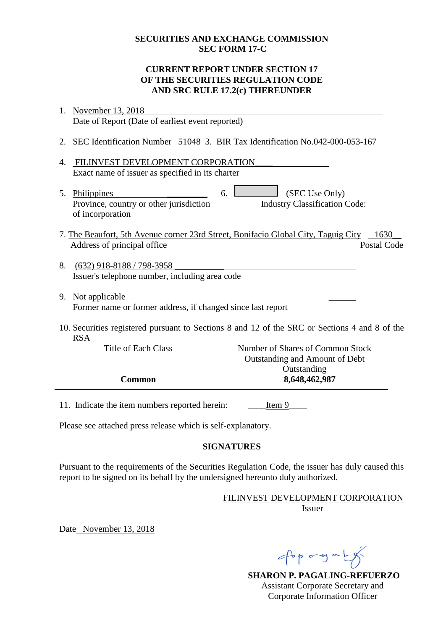## **SECURITIES AND EXCHANGE COMMISSION SEC FORM 17-C**

## **CURRENT REPORT UNDER SECTION 17 OF THE SECURITIES REGULATION CODE AND SRC RULE 17.2(c) THEREUNDER**

- 1. November 13, 2018 Date of Report (Date of earliest event reported)
- 2. SEC Identification Number 51048 3. BIR Tax Identification No.042-000-053-167
- 4. FILINVEST DEVELOPMENT CORPORATION\_\_\_\_ Exact name of issuer as specified in its charter
- 5. Philippines  $\qquad \qquad 6.$  (SEC Use Only) Province, country or other jurisdiction of incorporation Industry Classification Code:
- 7. The Beaufort, 5th Avenue corner 23rd Street, Bonifacio Global City, Taguig City 1630\_\_ Address of principal office Postal Code
- 8. (632) 918-8188 / 798-3958 Issuer's telephone number, including area code
- 9. Not applicable Former name or former address, if changed since last report
- 10. Securities registered pursuant to Sections 8 and 12 of the SRC or Sections 4 and 8 of the RSA

| Title of Each Class | Number of Shares of Common Stock |
|---------------------|----------------------------------|
|                     | Outstanding and Amount of Debt   |
|                     | Outstanding                      |
| Common              | 8,648,462,987                    |
|                     |                                  |

11. Indicate the item numbers reported herein: Ltem 9

Please see attached press release which is self-explanatory.

# **SIGNATURES**

Pursuant to the requirements of the Securities Regulation Code, the issuer has duly caused this report to be signed on its behalf by the undersigned hereunto duly authorized.

#### FILINVEST DEVELOPMENT CORPORATION Issuer

Date November 13, 2018

**SHARON P. PAGALING-REFUERZO** Assistant Corporate Secretary and Corporate Information Officer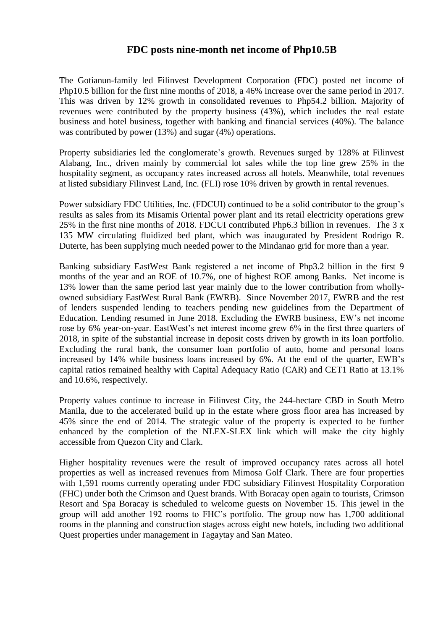# **FDC posts nine-month net income of Php10.5B**

The Gotianun-family led Filinvest Development Corporation (FDC) posted net income of Php10.5 billion for the first nine months of 2018, a 46% increase over the same period in 2017. This was driven by 12% growth in consolidated revenues to Php54.2 billion. Majority of revenues were contributed by the property business (43%), which includes the real estate business and hotel business, together with banking and financial services (40%). The balance was contributed by power (13%) and sugar (4%) operations.

Property subsidiaries led the conglomerate's growth. Revenues surged by 128% at Filinvest Alabang, Inc., driven mainly by commercial lot sales while the top line grew 25% in the hospitality segment, as occupancy rates increased across all hotels. Meanwhile, total revenues at listed subsidiary Filinvest Land, Inc. (FLI) rose 10% driven by growth in rental revenues.

Power subsidiary FDC Utilities, Inc. (FDCUI) continued to be a solid contributor to the group's results as sales from its Misamis Oriental power plant and its retail electricity operations grew 25% in the first nine months of 2018. FDCUI contributed Php6.3 billion in revenues. The 3 x 135 MW circulating fluidized bed plant, which was inaugurated by President Rodrigo R. Duterte, has been supplying much needed power to the Mindanao grid for more than a year.

Banking subsidiary EastWest Bank registered a net income of Php3.2 billion in the first 9 months of the year and an ROE of 10.7%, one of highest ROE among Banks. Net income is 13% lower than the same period last year mainly due to the lower contribution from whollyowned subsidiary EastWest Rural Bank (EWRB). Since November 2017, EWRB and the rest of lenders suspended lending to teachers pending new guidelines from the Department of Education. Lending resumed in June 2018. Excluding the EWRB business, EW's net income rose by 6% year-on-year. EastWest's net interest income grew 6% in the first three quarters of 2018, in spite of the substantial increase in deposit costs driven by growth in its loan portfolio. Excluding the rural bank, the consumer loan portfolio of auto, home and personal loans increased by 14% while business loans increased by 6%. At the end of the quarter, EWB's capital ratios remained healthy with Capital Adequacy Ratio (CAR) and CET1 Ratio at 13.1% and 10.6%, respectively.

Property values continue to increase in Filinvest City, the 244-hectare CBD in South Metro Manila, due to the accelerated build up in the estate where gross floor area has increased by 45% since the end of 2014. The strategic value of the property is expected to be further enhanced by the completion of the NLEX-SLEX link which will make the city highly accessible from Quezon City and Clark.

Higher hospitality revenues were the result of improved occupancy rates across all hotel properties as well as increased revenues from Mimosa Golf Clark. There are four properties with 1,591 rooms currently operating under FDC subsidiary Filinvest Hospitality Corporation (FHC) under both the Crimson and Quest brands. With Boracay open again to tourists, Crimson Resort and Spa Boracay is scheduled to welcome guests on November 15. This jewel in the group will add another 192 rooms to FHC's portfolio. The group now has 1,700 additional rooms in the planning and construction stages across eight new hotels, including two additional Quest properties under management in Tagaytay and San Mateo.